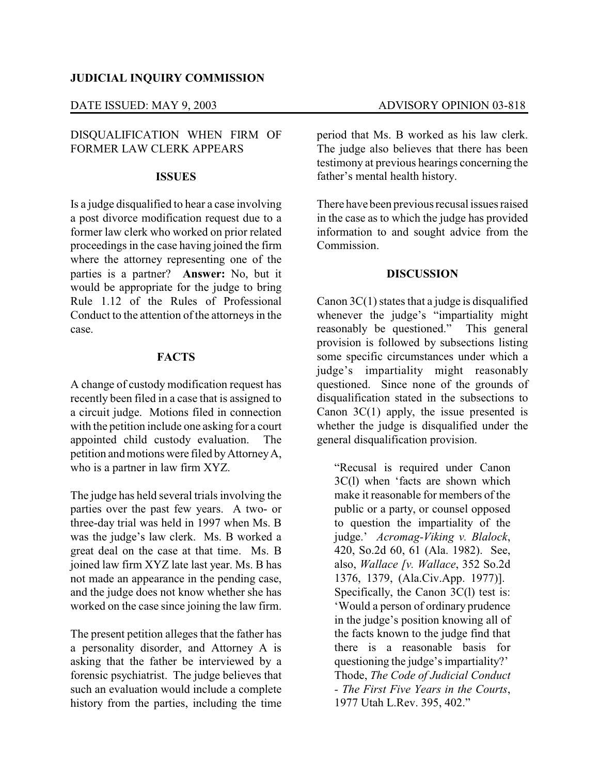## **JUDICIAL INQUIRY COMMISSION**

# DISQUALIFICATION WHEN FIRM OF FORMER LAW CLERK APPEARS

### **ISSUES**

Is a judge disqualified to hear a case involving a post divorce modification request due to a former law clerk who worked on prior related proceedings in the case having joined the firm where the attorney representing one of the parties is a partner? **Answer:** No, but it would be appropriate for the judge to bring Rule 1.12 of the Rules of Professional Conduct to the attention of the attorneys in the case.

## **FACTS**

A change of custody modification request has recently been filed in a case that is assigned to a circuit judge. Motions filed in connection with the petition include one asking for a court appointed child custody evaluation. The petition and motions were filed byAttorneyA, who is a partner in law firm XYZ.

The judge has held several trials involving the parties over the past few years. A two- or three-day trial was held in 1997 when Ms. B was the judge's law clerk. Ms. B worked a great deal on the case at that time. Ms. B joined law firm XYZ late last year. Ms. B has not made an appearance in the pending case, and the judge does not know whether she has worked on the case since joining the law firm.

The present petition alleges that the father has a personality disorder, and Attorney A is asking that the father be interviewed by a forensic psychiatrist. The judge believes that such an evaluation would include a complete history from the parties, including the time

period that Ms. B worked as his law clerk. The judge also believes that there has been testimony at previous hearings concerning the father's mental health history.

There have been previous recusal issues raised in the case as to which the judge has provided information to and sought advice from the Commission.

### **DISCUSSION**

Canon  $3C(1)$  states that a judge is disqualified whenever the judge's "impartiality might reasonably be questioned." This general provision is followed by subsections listing some specific circumstances under which a judge's impartiality might reasonably questioned. Since none of the grounds of disqualification stated in the subsections to Canon 3C(1) apply, the issue presented is whether the judge is disqualified under the general disqualification provision.

"Recusal is required under Canon 3C(l) when 'facts are shown which make it reasonable for members of the public or a party, or counsel opposed to question the impartiality of the judge.' *Acromag-Viking v. Blalock*, 420, So.2d 60, 61 (Ala. 1982). See, also, *Wallace [v. Wallace*, 352 So.2d 1376, 1379, (Ala.Civ.App. 1977)]. Specifically, the Canon 3C(l) test is: 'Would a person of ordinary prudence in the judge's position knowing all of the facts known to the judge find that there is a reasonable basis for questioning the judge's impartiality?' Thode, *The Code of Judicial Conduct - The First Five Years in the Courts*, 1977 Utah L.Rev. 395, 402."